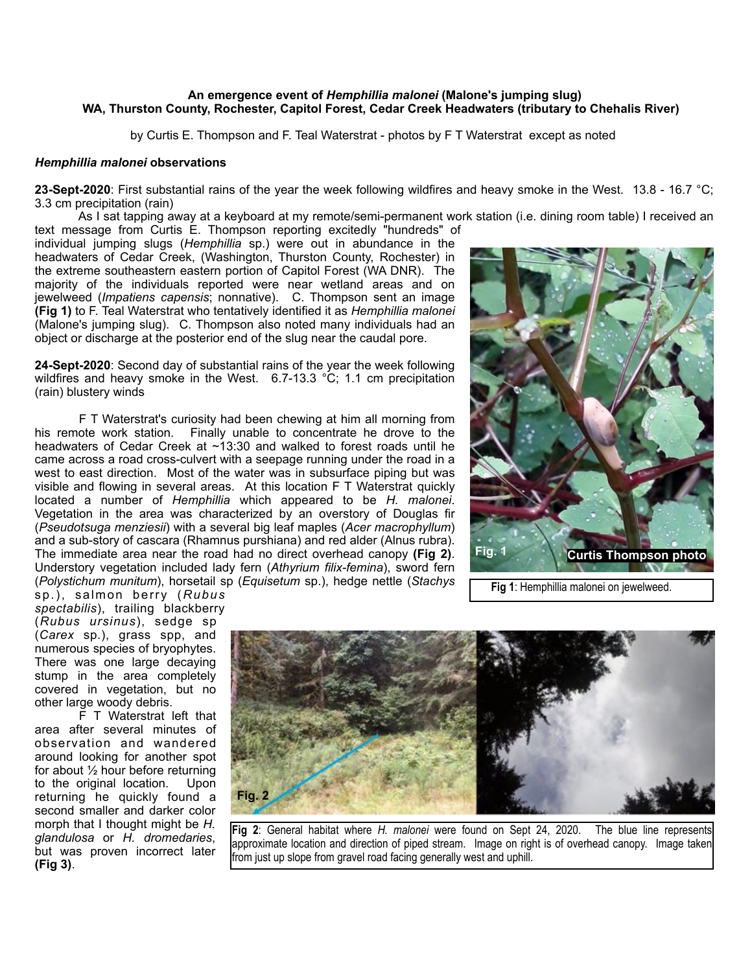## **An emergence event of** *Hemphillia malonei* **(Malone's jumping slug) WA, Thurston County, Rochester, Capitol Forest, Cedar Creek Headwaters (tributary to Chehalis River)**

by Curtis E. Thompson and F. Teal Waterstrat - photos by F T Waterstrat except as noted

## *Hemphillia malonei* **observations**

**23-Sept-2020**: First substantial rains of the year the week following wildfires and heavy smoke in the West. 13.8 - 16.7 °C; 3.3 cm precipitation (rain)

 As I sat tapping away at a keyboard at my remote/semi-permanent work station (i.e. dining room table) I received an text message from Curtis E. Thompson reporting excitedly "hundreds" of

individual jumping slugs (*Hemphillia* sp.) were out in abundance in the headwaters of Cedar Creek, (Washington, Thurston County, Rochester) in the extreme southeastern eastern portion of Capitol Forest (WA DNR). The majority of the individuals reported were near wetland areas and on jewelweed (*Impatiens capensis*; nonnative). C. Thompson sent an image **(Fig 1)** to F. Teal Waterstrat who tentatively identified it as *Hemphillia malonei* (Malone's jumping slug). C. Thompson also noted many individuals had an object or discharge at the posterior end of the slug near the caudal pore.

**24-Sept-2020**: Second day of substantial rains of the year the week following wildfires and heavy smoke in the West. 6.7-13.3 °C; 1.1 cm precipitation (rain) blustery winds

 F T Waterstrat's curiosity had been chewing at him all morning from his remote work station. Finally unable to concentrate he drove to the headwaters of Cedar Creek at ~13:30 and walked to forest roads until he came across a road cross-culvert with a seepage running under the road in a west to east direction. Most of the water was in subsurface piping but was visible and flowing in several areas. At this location F T Waterstrat quickly located a number of *Hemphillia* which appeared to be *H. malonei*. Vegetation in the area was characterized by an overstory of Douglas fir (*Pseudotsuga menziesii*) with a several big leaf maples (*Acer macrophyllum*) and a sub-story of cascara (Rhamnus purshiana) and red alder (Alnus rubra). The immediate area near the road had no direct overhead canopy **(Fig 2)**. Understory vegetation included lady fern (*Athyrium filix-femina*), sword fern (*Polystichum munitum*), horsetail sp (*Equisetum* sp.), hedge nettle (*Stachys*



 **Fig 1**: Hemphillia malonei on jewelweed.

sp.), salmon berry (*Rubus spectabilis*), trailing blackberry (*Rubus ursinus*), sedge sp (*Carex* sp.), grass spp, and numerous species of bryophytes. There was one large decaying stump in the area completely covered in vegetation, but no other large woody debris.

 F T Waterstrat left that area after several minutes of observation and wandered around looking for another spot for about ½ hour before returning to the original location. Upon returning he quickly found a second smaller and darker color morph that I thought might be *H. glandulosa* or *H. dromedaries*, but was proven incorrect later **(Fig 3)**.



**Fig 2**: General habitat where *H. malonei* were found on Sept 24, 2020. The blue line represents approximate location and direction of piped stream. Image on right is of overhead canopy. Image taken from just up slope from gravel road facing generally west and uphill.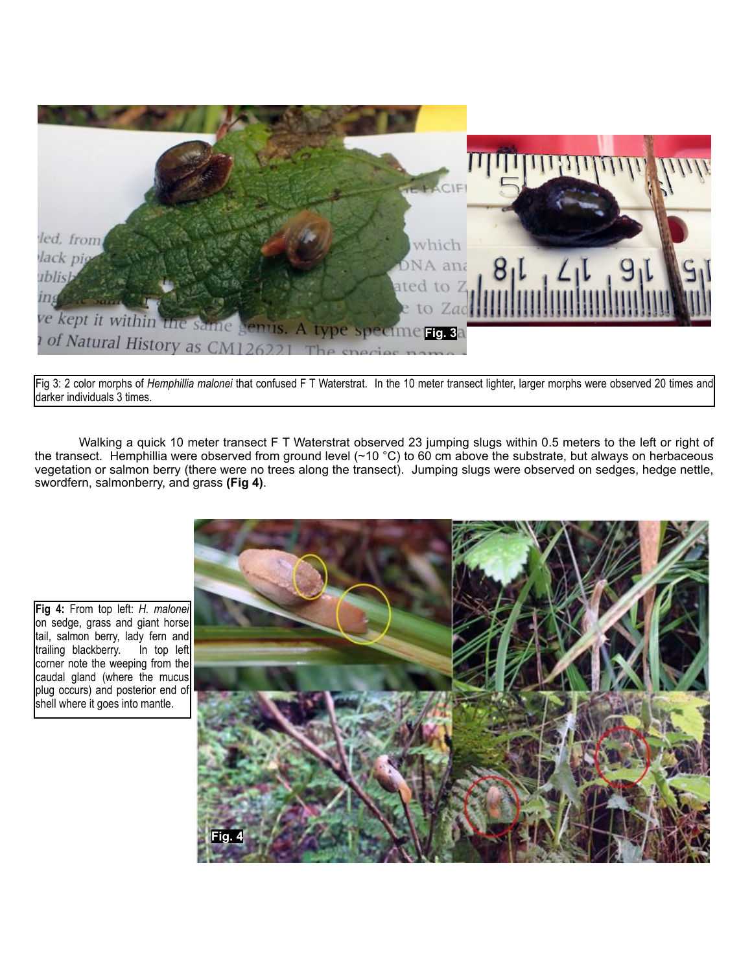

Fig 3: 2 color morphs of *Hemphillia malonei* that confused F T Waterstrat. In the 10 meter transect lighter, larger morphs were observed 20 times and darker individuals 3 times.

 Walking a quick 10 meter transect F T Waterstrat observed 23 jumping slugs within 0.5 meters to the left or right of the transect. Hemphillia were observed from ground level (~10 °C) to 60 cm above the substrate, but always on herbaceous vegetation or salmon berry (there were no trees along the transect). Jumping slugs were observed on sedges, hedge nettle, swordfern, salmonberry, and grass **(Fig 4)**.



**Fig 4:** From top left: *H. malonei* on sedge, grass and giant horse tail, salmon berry, lady fern and<br>trailing blackberry. In top left trailing blackberry. corner note the weeping from the caudal gland (where the mucus plug occurs) and posterior end of shell where it goes into mantle.